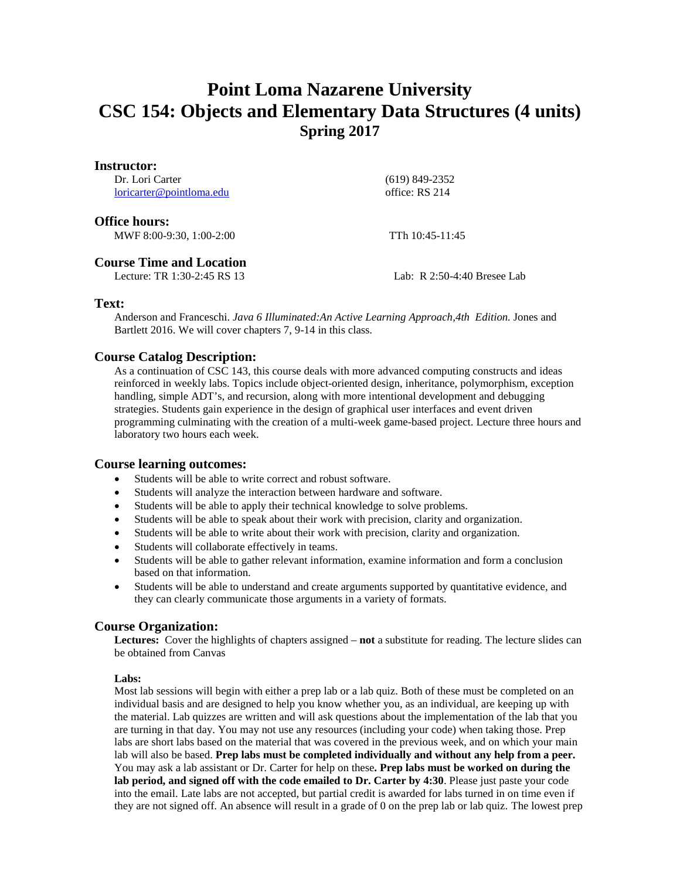# **Point Loma Nazarene University CSC 154: Objects and Elementary Data Structures (4 units) Spring 2017**

| Instructor:              |  |
|--------------------------|--|
| Dr. Lori Carter          |  |
| loricarter@pointloma.edu |  |
|                          |  |

 (619) 849-2352 office: RS 214

**Office hours:**

MWF 8:00-9:30, 1:00-2:00 TTh 10:45-11:45

# **Course Time and Location**<br>Lecture: TR 1:30-2:45 RS 13

Lab:  $R$  2:50-4:40 Bresee Lab

# **Text:**

Anderson and Franceschi. *Java 6 Illuminated:An Active Learning Approach,4th Edition.* Jones and Bartlett 2016. We will cover chapters 7, 9-14 in this class.

# **Course Catalog Description:**

As a continuation of CSC 143, this course deals with more advanced computing constructs and ideas reinforced in weekly labs. Topics include object-oriented design, inheritance, polymorphism, exception handling, simple ADT's, and recursion, along with more intentional development and debugging strategies. Students gain experience in the design of graphical user interfaces and event driven programming culminating with the creation of a multi-week game-based project. Lecture three hours and laboratory two hours each week.

# **Course learning outcomes:**

- Students will be able to write correct and robust software.
- Students will analyze the interaction between hardware and software.
- Students will be able to apply their technical knowledge to solve problems.
- Students will be able to speak about their work with precision, clarity and organization.
- Students will be able to write about their work with precision, clarity and organization.
- Students will collaborate effectively in teams.
- Students will be able to gather relevant information, examine information and form a conclusion based on that information.
- Students will be able to understand and create arguments supported by quantitative evidence, and they can clearly communicate those arguments in a variety of formats.

# **Course Organization:**

**Lectures:** Cover the highlights of chapters assigned – **not** a substitute for reading. The lecture slides can be obtained from Canvas

#### **Labs:**

Most lab sessions will begin with either a prep lab or a lab quiz. Both of these must be completed on an individual basis and are designed to help you know whether you, as an individual, are keeping up with the material. Lab quizzes are written and will ask questions about the implementation of the lab that you are turning in that day. You may not use any resources (including your code) when taking those. Prep labs are short labs based on the material that was covered in the previous week, and on which your main lab will also be based. **Prep labs must be completed individually and without any help from a peer.**  You may ask a lab assistant or Dr. Carter for help on these**. Prep labs must be worked on during the lab period, and signed off with the code emailed to Dr. Carter by 4:30**. Please just paste your code into the email. Late labs are not accepted, but partial credit is awarded for labs turned in on time even if they are not signed off. An absence will result in a grade of 0 on the prep lab or lab quiz. The lowest prep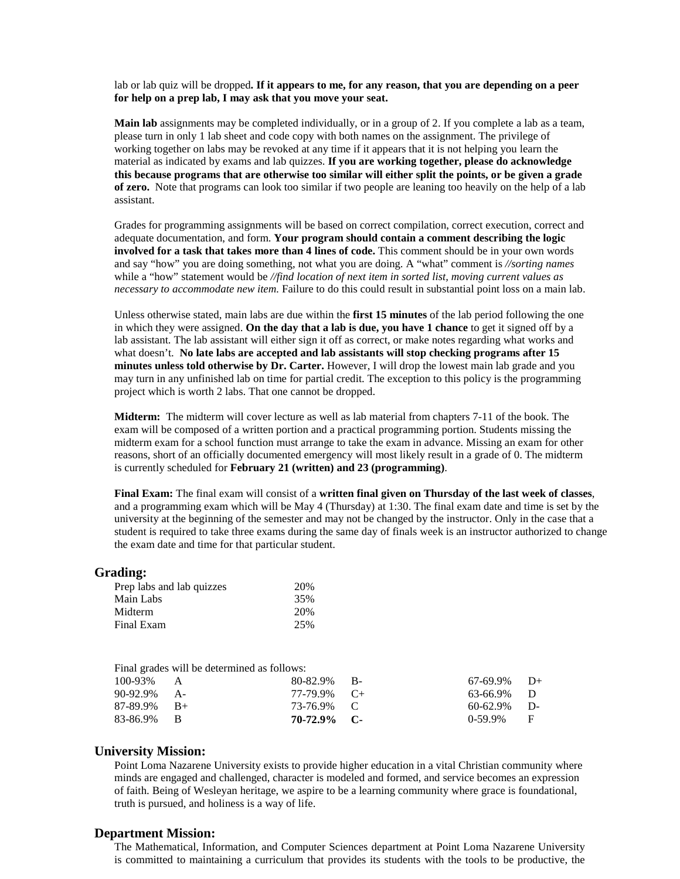lab or lab quiz will be dropped**. If it appears to me, for any reason, that you are depending on a peer for help on a prep lab, I may ask that you move your seat.**

**Main lab** assignments may be completed individually, or in a group of 2. If you complete a lab as a team, please turn in only 1 lab sheet and code copy with both names on the assignment. The privilege of working together on labs may be revoked at any time if it appears that it is not helping you learn the material as indicated by exams and lab quizzes. **If you are working together, please do acknowledge this because programs that are otherwise too similar will either split the points, or be given a grade of zero.** Note that programs can look too similar if two people are leaning too heavily on the help of a lab assistant.

Grades for programming assignments will be based on correct compilation, correct execution, correct and adequate documentation, and form. **Your program should contain a comment describing the logic involved for a task that takes more than 4 lines of code.** This comment should be in your own words and say "how" you are doing something, not what you are doing. A "what" comment is *//sorting names*  while a "how" statement would be *//find location of next item in sorted list, moving current values as necessary to accommodate new item.* Failure to do this could result in substantial point loss on a main lab.

Unless otherwise stated, main labs are due within the **first 15 minutes** of the lab period following the one in which they were assigned. **On the day that a lab is due, you have 1 chance** to get it signed off by a lab assistant. The lab assistant will either sign it off as correct, or make notes regarding what works and what doesn't. **No late labs are accepted and lab assistants will stop checking programs after 15 minutes unless told otherwise by Dr. Carter.** However, I will drop the lowest main lab grade and you may turn in any unfinished lab on time for partial credit. The exception to this policy is the programming project which is worth 2 labs. That one cannot be dropped.

**Midterm:** The midterm will cover lecture as well as lab material from chapters 7-11 of the book. The exam will be composed of a written portion and a practical programming portion. Students missing the midterm exam for a school function must arrange to take the exam in advance. Missing an exam for other reasons, short of an officially documented emergency will most likely result in a grade of 0. The midterm is currently scheduled for **February 21 (written) and 23 (programming)**.

**Final Exam:** The final exam will consist of a **written final given on Thursday of the last week of classes**, and a programming exam which will be May 4 (Thursday) at 1:30. The final exam date and time is set by the university at the beginning of the semester and may not be changed by the instructor. Only in the case that a student is required to take three exams during the same day of finals week is an instructor authorized to change the exam date and time for that particular student.

#### **Grading:**

| 20% |
|-----|
| 35% |
| 20% |
| 25% |
|     |

|                | Final grades will be determined as follows: |                |                |  |
|----------------|---------------------------------------------|----------------|----------------|--|
| $100-93\%$ A   |                                             | $80-82.9\%$ B- | $67-69.9\%$ D+ |  |
| $90-92.9\%$ A- |                                             | 77-79.9% C+    | 63-66.9% D     |  |
| $87-89.9\%$ B+ |                                             | 73-76.9% C     | $60-62.9\%$ D- |  |
| 83-86.9% B     |                                             | 70-72.9% C-    | $0-59.9\%$ F   |  |

#### **University Mission:**

Point Loma Nazarene University exists to provide higher education in a vital Christian community where minds are engaged and challenged, character is modeled and formed, and service becomes an expression of faith. Being of Wesleyan heritage, we aspire to be a learning community where grace is foundational, truth is pursued, and holiness is a way of life.

#### **Department Mission:**

The Mathematical, Information, and Computer Sciences department at Point Loma Nazarene University is committed to maintaining a curriculum that provides its students with the tools to be productive, the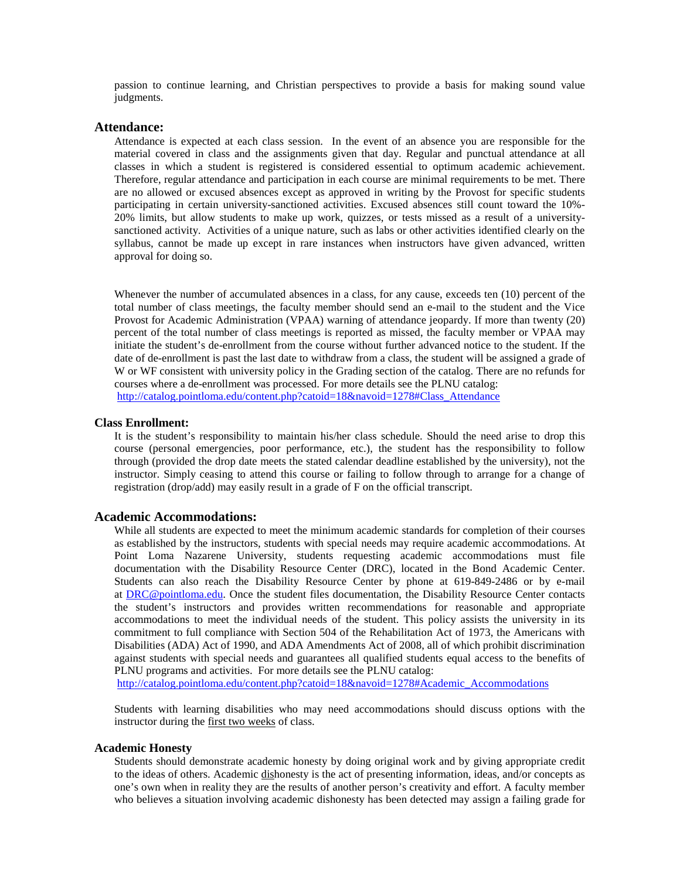passion to continue learning, and Christian perspectives to provide a basis for making sound value judgments.

#### **Attendance:**

Attendance is expected at each class session. In the event of an absence you are responsible for the material covered in class and the assignments given that day. Regular and punctual attendance at all classes in which a student is registered is considered essential to optimum academic achievement. Therefore, regular attendance and participation in each course are minimal requirements to be met. There are no allowed or excused absences except as approved in writing by the Provost for specific students participating in certain university-sanctioned activities. Excused absences still count toward the 10%- 20% limits, but allow students to make up work, quizzes, or tests missed as a result of a universitysanctioned activity. Activities of a unique nature, such as labs or other activities identified clearly on the syllabus, cannot be made up except in rare instances when instructors have given advanced, written approval for doing so.

Whenever the number of accumulated absences in a class, for any cause, exceeds ten (10) percent of the total number of class meetings, the faculty member should send an e-mail to the student and the Vice Provost for Academic Administration (VPAA) warning of attendance jeopardy. If more than twenty (20) percent of the total number of class meetings is reported as missed, the faculty member or VPAA may initiate the student's de-enrollment from the course without further advanced notice to the student. If the date of de-enrollment is past the last date to withdraw from a class, the student will be assigned a grade of W or WF consistent with university policy in the Grading section of the catalog. There are no refunds for courses where a de-enrollment was processed. For more details see the PLNU catalog: [http://catalog.pointloma.edu/content.php?catoid=18&navoid=1278#Class\\_Attendance](http://catalog.pointloma.edu/content.php?catoid=18&navoid=1278#Class_Attendance)

#### **Class Enrollment:**

It is the student's responsibility to maintain his/her class schedule. Should the need arise to drop this course (personal emergencies, poor performance, etc.), the student has the responsibility to follow through (provided the drop date meets the stated calendar deadline established by the university), not the instructor. Simply ceasing to attend this course or failing to follow through to arrange for a change of registration (drop/add) may easily result in a grade of F on the official transcript.

#### **Academic Accommodations:**

While all students are expected to meet the minimum academic standards for completion of their courses as established by the instructors, students with special needs may require academic accommodations. At Point Loma Nazarene University, students requesting academic accommodations must file documentation with the Disability Resource Center (DRC), located in the Bond Academic Center. Students can also reach the Disability Resource Center by phone at 619-849-2486 or by e-mail at [DRC@pointloma.edu.](mailto:DRC@pointloma.edu) Once the student files documentation, the Disability Resource Center contacts the student's instructors and provides written recommendations for reasonable and appropriate accommodations to meet the individual needs of the student. This policy assists the university in its commitment to full compliance with Section 504 of the Rehabilitation Act of 1973, the Americans with Disabilities (ADA) Act of 1990, and ADA Amendments Act of 2008, all of which prohibit discrimination against students with special needs and guarantees all qualified students equal access to the benefits of PLNU programs and activities. For more details see the PLNU catalog:

[http://catalog.pointloma.edu/content.php?catoid=18&navoid=1278#Academic\\_Accommodations](http://catalog.pointloma.edu/content.php?catoid=18&navoid=1278#Academic_Accommodations) 

Students with learning disabilities who may need accommodations should discuss options with the instructor during the first two weeks of class.

#### **Academic Honesty**

Students should demonstrate academic honesty by doing original work and by giving appropriate credit to the ideas of others. Academic dishonesty is the act of presenting information, ideas, and/or concepts as one's own when in reality they are the results of another person's creativity and effort. A faculty member who believes a situation involving academic dishonesty has been detected may assign a failing grade for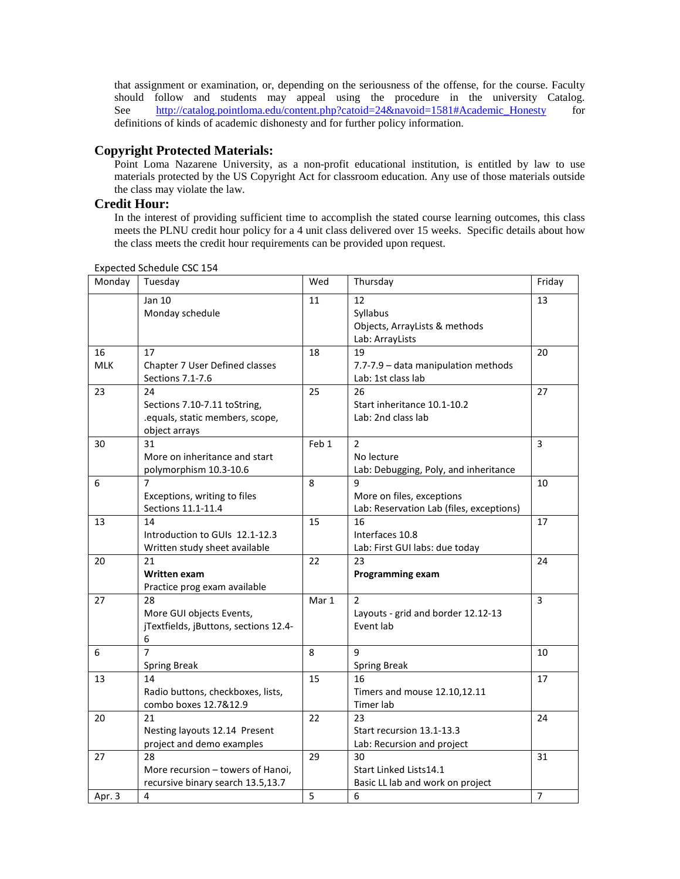that assignment or examination, or, depending on the seriousness of the offense, for the course. Faculty should follow and students may appeal using the procedure in the university Catalog. See [http://catalog.pointloma.edu/content.php?catoid=24&navoid=1581#Academic\\_Honesty](http://catalog.pointloma.edu/content.php?catoid=24&navoid=1581#Academic_Honesty) for definitions of kinds of academic dishonesty and for further policy information.

# **Copyright Protected Materials:**

Point Loma Nazarene University, as a non-profit educational institution, is entitled by law to use materials protected by the US Copyright Act for classroom education. Any use of those materials outside the class may violate the law.

# **Credit Hour:**

In the interest of providing sufficient time to accomplish the stated course learning outcomes, this class meets the PLNU credit hour policy for a 4 unit class delivered over 15 weeks. Specific details about how the class meets the credit hour requirements can be provided upon request.

| Monday           | Tuesday                                                                                | Wed   | Thursday                                                                   | Friday         |
|------------------|----------------------------------------------------------------------------------------|-------|----------------------------------------------------------------------------|----------------|
|                  | Jan 10<br>Monday schedule                                                              | 11    | 12<br>Syllabus<br>Objects, ArrayLists & methods<br>Lab: ArrayLists         | 13             |
| 16<br><b>MLK</b> | 17<br>Chapter 7 User Defined classes<br>Sections 7.1-7.6                               | 18    | 19<br>7.7-7.9 - data manipulation methods<br>Lab: 1st class lab            | 20             |
| 23               | 24<br>Sections 7.10-7.11 toString,<br>.equals, static members, scope,<br>object arrays | 25    | 26<br>Start inheritance 10.1-10.2<br>Lab: 2nd class lab                    | 27             |
| 30               | 31<br>More on inheritance and start<br>polymorphism 10.3-10.6                          | Feb 1 | $\overline{2}$<br>No lecture<br>Lab: Debugging, Poly, and inheritance      | 3              |
| 6                | Exceptions, writing to files<br>Sections 11.1-11.4                                     | 8     | 9<br>More on files, exceptions<br>Lab: Reservation Lab (files, exceptions) | 10             |
| 13               | 14<br>Introduction to GUIs 12.1-12.3<br>Written study sheet available                  | 15    | 16<br>Interfaces 10.8<br>Lab: First GUI labs: due today                    | 17             |
| 20               | 21<br>Written exam<br>Practice prog exam available                                     | 22    | 23<br><b>Programming exam</b>                                              | 24             |
| 27               | 28<br>More GUI objects Events,<br>jTextfields, jButtons, sections 12.4-<br>6           | Mar 1 | $\overline{2}$<br>Layouts - grid and border 12.12-13<br>Event lab          | 3              |
| 6                | $\overline{7}$<br><b>Spring Break</b>                                                  | 8     | 9<br><b>Spring Break</b>                                                   | 10             |
| 13               | 14<br>Radio buttons, checkboxes, lists,<br>combo boxes 12.7&12.9                       | 15    | 16<br>Timers and mouse 12.10,12.11<br>Timer lab                            | 17             |
| 20               | 21<br>Nesting layouts 12.14 Present<br>project and demo examples                       | 22    | 23<br>Start recursion 13.1-13.3<br>Lab: Recursion and project              | 24             |
| 27               | 28<br>More recursion - towers of Hanoi,<br>recursive binary search 13.5,13.7           | 29    | 30<br>Start Linked Lists14.1<br>Basic LL lab and work on project           | 31             |
| Apr. 3           | 4                                                                                      | 5     | 6                                                                          | $\overline{7}$ |

Expected Schedule CSC 154